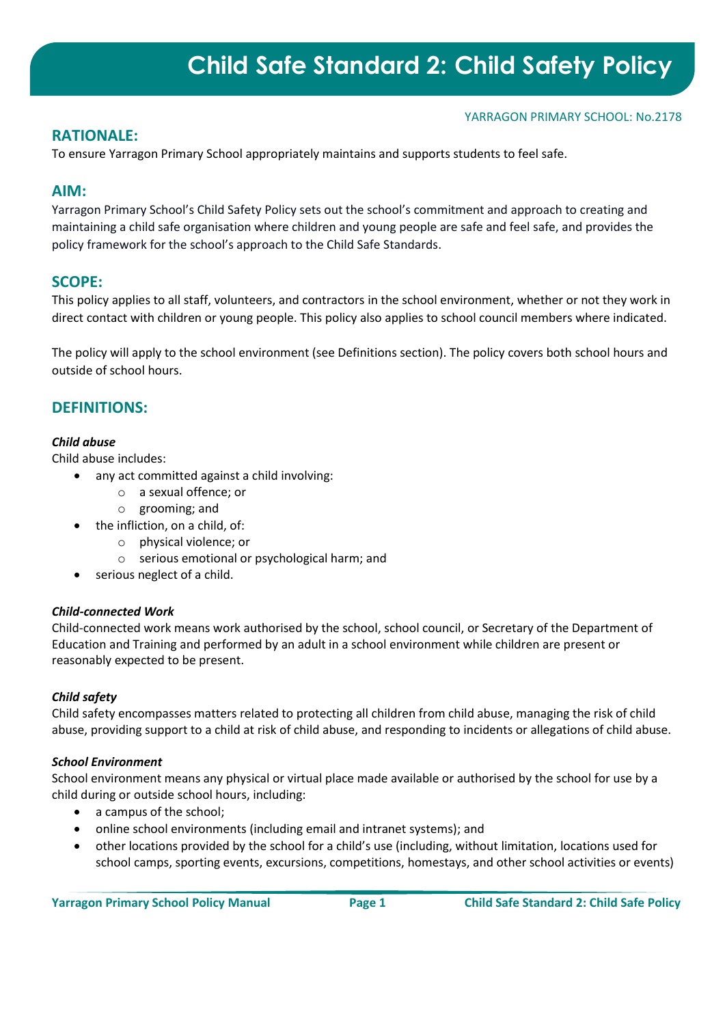### YARRAGON PRIMARY SCHOOL: No.2178

## **RATIONALE:**

To ensure Yarragon Primary School appropriately maintains and supports students to feel safe.

## **AIM:**

Yarragon Primary School's Child Safety Policy sets out the school's commitment and approach to creating and maintaining a child safe organisation where children and young people are safe and feel safe, and provides the policy framework for the school's approach to the Child Safe Standards.

## **SCOPE:**

This policy applies to all staff, volunteers, and contractors in the school environment, whether or not they work in direct contact with children or young people. This policy also applies to school council members where indicated.

The policy will apply to the school environment (see Definitions section). The policy covers both school hours and outside of school hours.

## **DEFINITIONS:**

## *Child abuse*

Child abuse includes:

- any act committed against a child involving:
	- o a sexual offence; or
	- o grooming; and
- the infliction, on a child, of:
	- o physical violence; or
	- o serious emotional or psychological harm; and
- serious neglect of a child.

## *Child-connected Work*

Child-connected work means work authorised by the school, school council, or Secretary of the Department of Education and Training and performed by an adult in a school environment while children are present or reasonably expected to be present.

## *Child safety*

Child safety encompasses matters related to protecting all children from child abuse, managing the risk of child abuse, providing support to a child at risk of child abuse, and responding to incidents or allegations of child abuse.

#### *School Environment*

School environment means any physical or virtual place made available or authorised by the school for use by a child during or outside school hours, including:

- a campus of the school;
- online school environments (including email and intranet systems); and
- other locations provided by the school for a child's use (including, without limitation, locations used for school camps, sporting events, excursions, competitions, homestays, and other school activities or events)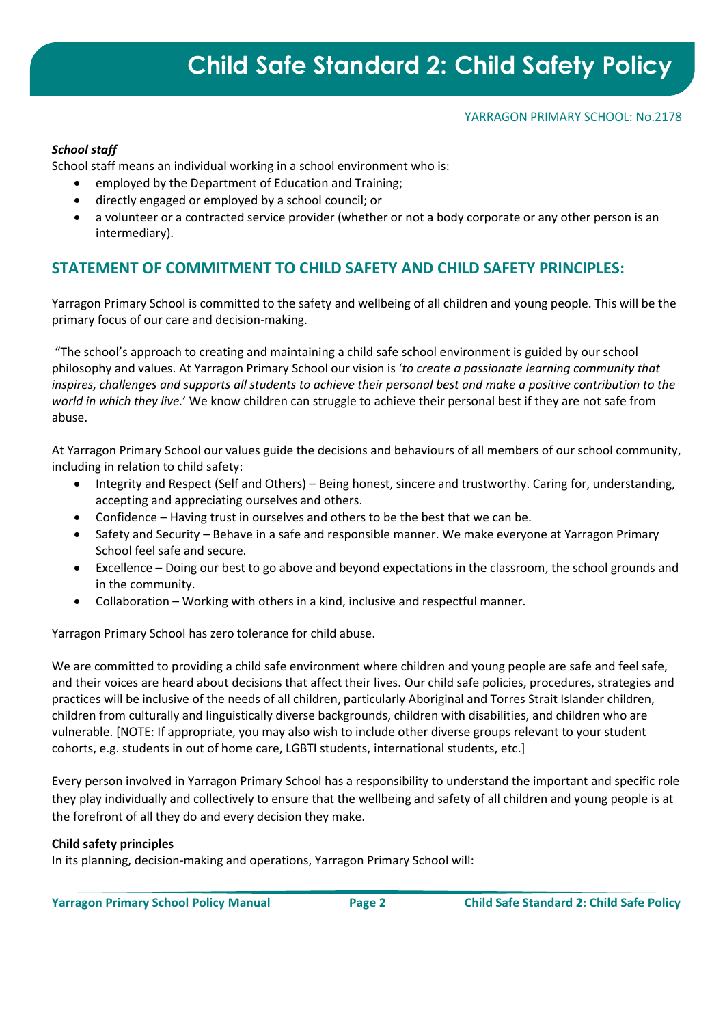### YARRAGON PRIMARY SCHOOL: No.2178

## *School staff*

School staff means an individual working in a school environment who is:

- employed by the Department of Education and Training;
- directly engaged or employed by a school council; or
- a volunteer or a contracted service provider (whether or not a body corporate or any other person is an intermediary).

# **STATEMENT OF COMMITMENT TO CHILD SAFETY AND CHILD SAFETY PRINCIPLES:**

Yarragon Primary School is committed to the safety and wellbeing of all children and young people. This will be the primary focus of our care and decision-making.

"The school's approach to creating and maintaining a child safe school environment is guided by our school philosophy and values. At Yarragon Primary School our vision is '*to create a passionate learning community that inspires, challenges and supports all students to achieve their personal best and make a positive contribution to the world in which they live.*' We know children can struggle to achieve their personal best if they are not safe from abuse.

At Yarragon Primary School our values guide the decisions and behaviours of all members of our school community, including in relation to child safety:

- Integrity and Respect (Self and Others) Being honest, sincere and trustworthy. Caring for, understanding, accepting and appreciating ourselves and others.
- Confidence Having trust in ourselves and others to be the best that we can be.
- Safety and Security Behave in a safe and responsible manner. We make everyone at Yarragon Primary School feel safe and secure.
- Excellence Doing our best to go above and beyond expectations in the classroom, the school grounds and in the community.
- Collaboration Working with others in a kind, inclusive and respectful manner.

Yarragon Primary School has zero tolerance for child abuse.

We are committed to providing a child safe environment where children and young people are safe and feel safe, and their voices are heard about decisions that affect their lives. Our child safe policies, procedures, strategies and practices will be inclusive of the needs of all children, particularly Aboriginal and Torres Strait Islander children, children from culturally and linguistically diverse backgrounds, children with disabilities, and children who are vulnerable. [NOTE: If appropriate, you may also wish to include other diverse groups relevant to your student cohorts, e.g. students in out of home care, LGBTI students, international students, etc.]

Every person involved in Yarragon Primary School has a responsibility to understand the important and specific role they play individually and collectively to ensure that the wellbeing and safety of all children and young people is at the forefront of all they do and every decision they make.

#### **Child safety principles**

In its planning, decision-making and operations, Yarragon Primary School will: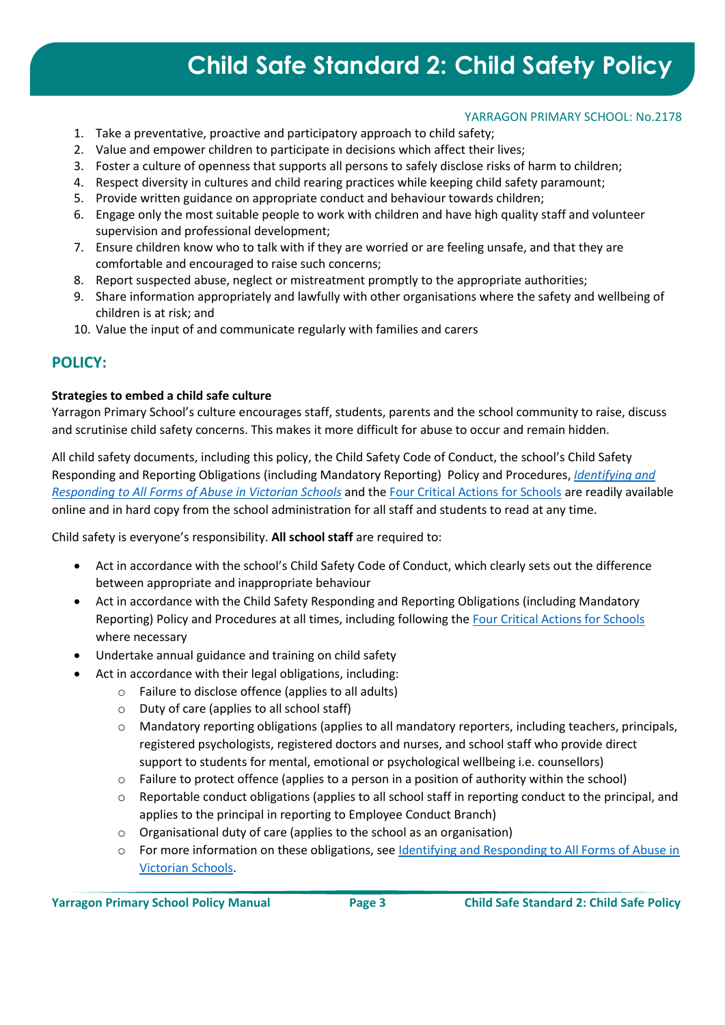### YARRAGON PRIMARY SCHOOL: No.2178

- 1. Take a preventative, proactive and participatory approach to child safety;
- 2. Value and empower children to participate in decisions which affect their lives;
- 3. Foster a culture of openness that supports all persons to safely disclose risks of harm to children;
- 4. Respect diversity in cultures and child rearing practices while keeping child safety paramount;
- 5. Provide written guidance on appropriate conduct and behaviour towards children;
- 6. Engage only the most suitable people to work with children and have high quality staff and volunteer supervision and professional development;
- 7. Ensure children know who to talk with if they are worried or are feeling unsafe, and that they are comfortable and encouraged to raise such concerns;
- 8. Report suspected abuse, neglect or mistreatment promptly to the appropriate authorities;
- 9. Share information appropriately and lawfully with other organisations where the safety and wellbeing of children is at risk; and
- 10. Value the input of and communicate regularly with families and carers

## **POLICY:**

### **Strategies to embed a child safe culture**

Yarragon Primary School's culture encourages staff, students, parents and the school community to raise, discuss and scrutinise child safety concerns. This makes it more difficult for abuse to occur and remain hidden.

All child safety documents, including this policy, the Child Safety Code of Conduct, the school's Child Safety Responding and Reporting Obligations (including Mandatory Reporting) Policy and Procedures, *[Identifying and](https://www.education.vic.gov.au/Documents/about/programs/health/protect/ChildSafeStandard5_SchoolsGuide.pdf)  [Responding to All Forms of Abuse in Victorian Schools](https://www.education.vic.gov.au/Documents/about/programs/health/protect/ChildSafeStandard5_SchoolsGuide.pdf)* and the [Four Critical Actions for Schools](https://www.education.vic.gov.au/Documents/about/programs/health/protect/FourCriticalActions_ChildAbuse.pdf) are readily available online and in hard copy from the school administration for all staff and students to read at any time.

Child safety is everyone's responsibility. **All school staff** are required to:

- Act in accordance with the school's Child Safety Code of Conduct, which clearly sets out the difference between appropriate and inappropriate behaviour
- Act in accordance with the Child Safety Responding and Reporting Obligations (including Mandatory Reporting) Policy and Procedures at all times, including following the [Four Critical Actions for Schools](https://www.education.vic.gov.au/Documents/about/programs/health/protect/FourCriticalActions_ChildAbuse.pdf) where necessary
- Undertake annual guidance and training on child safety
	- Act in accordance with their legal obligations, including:
		- o Failure to disclose offence (applies to all adults)
		- o Duty of care (applies to all school staff)
		- o Mandatory reporting obligations (applies to all mandatory reporters, including teachers, principals, registered psychologists, registered doctors and nurses, and school staff who provide direct support to students for mental, emotional or psychological wellbeing i.e. counsellors)
		- o Failure to protect offence (applies to a person in a position of authority within the school)
		- o Reportable conduct obligations (applies to all school staff in reporting conduct to the principal, and applies to the principal in reporting to Employee Conduct Branch)
		- o Organisational duty of care (applies to the school as an organisation)
		- o For more information on these obligations, see [Identifying and Responding to All Forms of Abuse in](https://www.education.vic.gov.au/Documents/about/programs/health/protect/ChildSafeStandard5_SchoolsGuide.pdf)  [Victorian Schools.](https://www.education.vic.gov.au/Documents/about/programs/health/protect/ChildSafeStandard5_SchoolsGuide.pdf)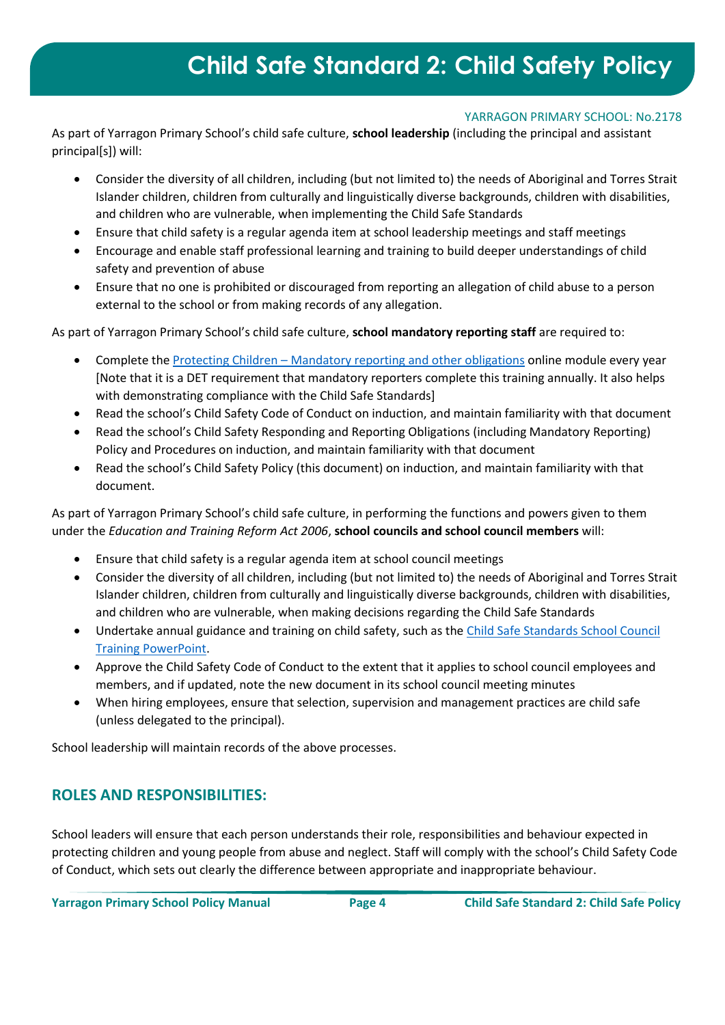### YARRAGON PRIMARY SCHOOL: No.2178

As part of Yarragon Primary School's child safe culture, **school leadership** (including the principal and assistant principal[s]) will:

- Consider the diversity of all children, including (but not limited to) the needs of Aboriginal and Torres Strait Islander children, children from culturally and linguistically diverse backgrounds, children with disabilities, and children who are vulnerable, when implementing the Child Safe Standards
- Ensure that child safety is a regular agenda item at school leadership meetings and staff meetings
- Encourage and enable staff professional learning and training to build deeper understandings of child safety and prevention of abuse
- Ensure that no one is prohibited or discouraged from reporting an allegation of child abuse to a person external to the school or from making records of any allegation.

As part of Yarragon Primary School's child safe culture, **school mandatory reporting staff** are required to:

- Complete the Protecting Children [Mandatory reporting and other obligations](http://elearn.com.au/det/protectingchildren/) online module every year [Note that it is a DET requirement that mandatory reporters complete this training annually. It also helps with demonstrating compliance with the Child Safe Standards]
- Read the school's Child Safety Code of Conduct on induction, and maintain familiarity with that document
- Read the school's Child Safety Responding and Reporting Obligations (including Mandatory Reporting) Policy and Procedures on induction, and maintain familiarity with that document
- Read the school's Child Safety Policy (this document) on induction, and maintain familiarity with that document.

As part of Yarragon Primary School's child safe culture, in performing the functions and powers given to them under the *Education and Training Reform Act 2006*, **school councils and school council members** will:

- Ensure that child safety is a regular agenda item at school council meetings
- Consider the diversity of all children, including (but not limited to) the needs of Aboriginal and Torres Strait Islander children, children from culturally and linguistically diverse backgrounds, children with disabilities, and children who are vulnerable, when making decisions regarding the Child Safe Standards
- Undertake annual guidance and training on child safety, such as the [Child Safe Standards School Council](https://www.education.vic.gov.au/Documents/about/programs/health/protect/school-council-training.pptx)  [Training PowerPoint.](https://www.education.vic.gov.au/Documents/about/programs/health/protect/school-council-training.pptx)
- Approve the Child Safety Code of Conduct to the extent that it applies to school council employees and members, and if updated, note the new document in its school council meeting minutes
- When hiring employees, ensure that selection, supervision and management practices are child safe (unless delegated to the principal).

School leadership will maintain records of the above processes.

# **ROLES AND RESPONSIBILITIES:**

School leaders will ensure that each person understands their role, responsibilities and behaviour expected in protecting children and young people from abuse and neglect. Staff will comply with the school's Child Safety Code of Conduct, which sets out clearly the difference between appropriate and inappropriate behaviour.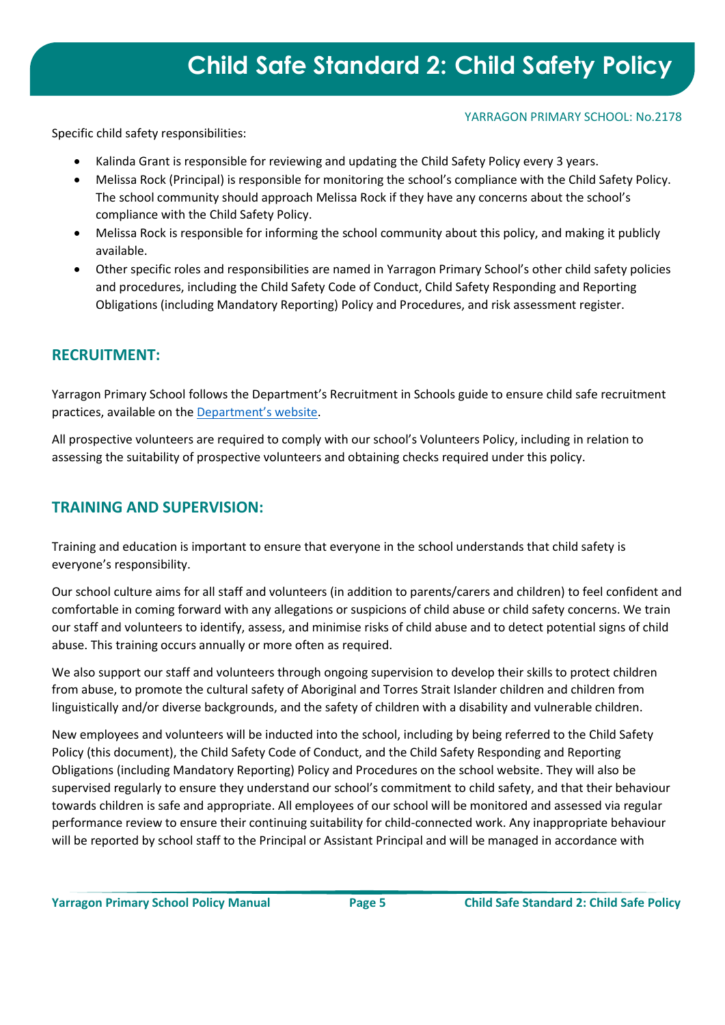### YARRAGON PRIMARY SCHOOL: No.2178

Specific child safety responsibilities:

- Kalinda Grant is responsible for reviewing and updating the Child Safety Policy every 3 years.
- Melissa Rock (Principal) is responsible for monitoring the school's compliance with the Child Safety Policy. The school community should approach Melissa Rock if they have any concerns about the school's compliance with the Child Safety Policy.
- Melissa Rock is responsible for informing the school community about this policy, and making it publicly available.
- Other specific roles and responsibilities are named in Yarragon Primary School's other child safety policies and procedures, including the Child Safety Code of Conduct, Child Safety Responding and Reporting Obligations (including Mandatory Reporting) Policy and Procedures, and risk assessment register.

## **RECRUITMENT:**

Yarragon Primary School follows the Department's Recruitment in Schools guide to ensure child safe recruitment practices, available on the [Department's website](https://www.education.vic.gov.au/hrweb/careers/Pages/recruitinsch.aspx).

All prospective volunteers are required to comply with our school's Volunteers Policy, including in relation to assessing the suitability of prospective volunteers and obtaining checks required under this policy.

# **TRAINING AND SUPERVISION:**

Training and education is important to ensure that everyone in the school understands that child safety is everyone's responsibility.

Our school culture aims for all staff and volunteers (in addition to parents/carers and children) to feel confident and comfortable in coming forward with any allegations or suspicions of child abuse or child safety concerns. We train our staff and volunteers to identify, assess, and minimise risks of child abuse and to detect potential signs of child abuse. This training occurs annually or more often as required.

We also support our staff and volunteers through ongoing supervision to develop their skills to protect children from abuse, to promote the cultural safety of Aboriginal and Torres Strait Islander children and children from linguistically and/or diverse backgrounds, and the safety of children with a disability and vulnerable children.

New employees and volunteers will be inducted into the school, including by being referred to the Child Safety Policy (this document), the Child Safety Code of Conduct, and the Child Safety Responding and Reporting Obligations (including Mandatory Reporting) Policy and Procedures on the school website. They will also be supervised regularly to ensure they understand our school's commitment to child safety, and that their behaviour towards children is safe and appropriate. All employees of our school will be monitored and assessed via regular performance review to ensure their continuing suitability for child-connected work. Any inappropriate behaviour will be reported by school staff to the Principal or Assistant Principal and will be managed in accordance with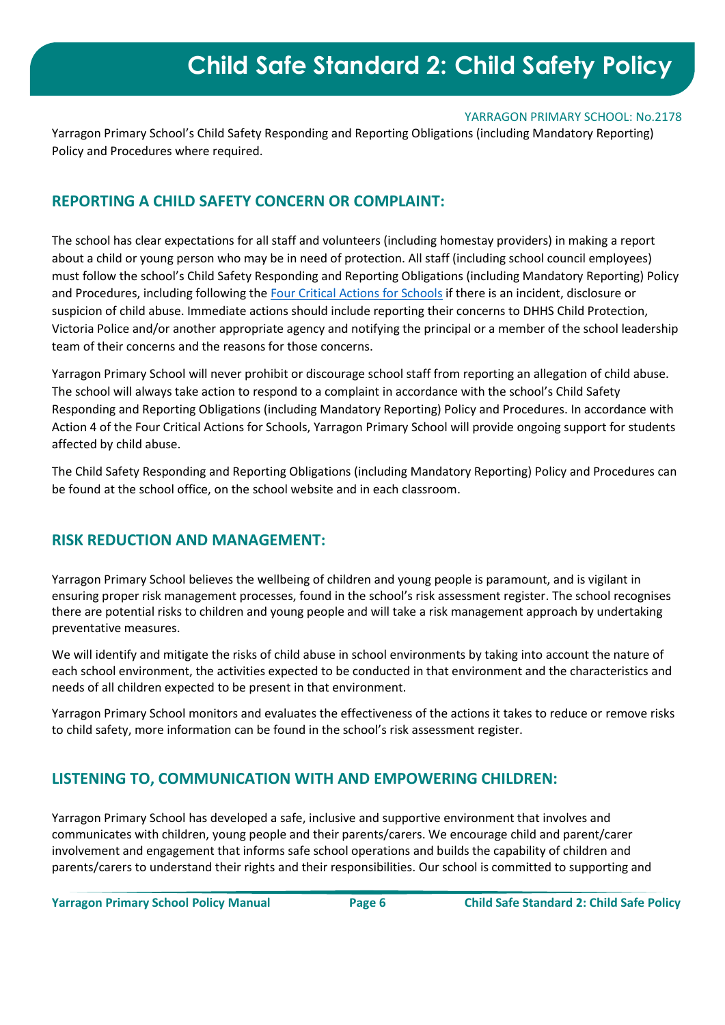#### YARRAGON PRIMARY SCHOOL: No.2178

Yarragon Primary School's Child Safety Responding and Reporting Obligations (including Mandatory Reporting) Policy and Procedures where required.

## **REPORTING A CHILD SAFETY CONCERN OR COMPLAINT:**

The school has clear expectations for all staff and volunteers (including homestay providers) in making a report about a child or young person who may be in need of protection. All staff (including school council employees) must follow the school's Child Safety Responding and Reporting Obligations (including Mandatory Reporting) Policy and Procedures, including following the [Four Critical Actions for Schools](https://www.education.vic.gov.au/Documents/about/programs/health/protect/FourCriticalActions_ChildAbuse.pdf) if there is an incident, disclosure or suspicion of child abuse. Immediate actions should include reporting their concerns to DHHS Child Protection, Victoria Police and/or another appropriate agency and notifying the principal or a member of the school leadership team of their concerns and the reasons for those concerns.

Yarragon Primary School will never prohibit or discourage school staff from reporting an allegation of child abuse. The school will always take action to respond to a complaint in accordance with the school's Child Safety Responding and Reporting Obligations (including Mandatory Reporting) Policy and Procedures. In accordance with Action 4 of the Four Critical Actions for Schools, Yarragon Primary School will provide ongoing support for students affected by child abuse.

The Child Safety Responding and Reporting Obligations (including Mandatory Reporting) Policy and Procedures can be found at the school office, on the school website and in each classroom.

## **RISK REDUCTION AND MANAGEMENT:**

Yarragon Primary School believes the wellbeing of children and young people is paramount, and is vigilant in ensuring proper risk management processes, found in the school's risk assessment register. The school recognises there are potential risks to children and young people and will take a risk management approach by undertaking preventative measures.

We will identify and mitigate the risks of child abuse in school environments by taking into account the nature of each school environment, the activities expected to be conducted in that environment and the characteristics and needs of all children expected to be present in that environment.

Yarragon Primary School monitors and evaluates the effectiveness of the actions it takes to reduce or remove risks to child safety, more information can be found in the school's risk assessment register.

# **LISTENING TO, COMMUNICATION WITH AND EMPOWERING CHILDREN:**

Yarragon Primary School has developed a safe, inclusive and supportive environment that involves and communicates with children, young people and their parents/carers. We encourage child and parent/carer involvement and engagement that informs safe school operations and builds the capability of children and parents/carers to understand their rights and their responsibilities. Our school is committed to supporting and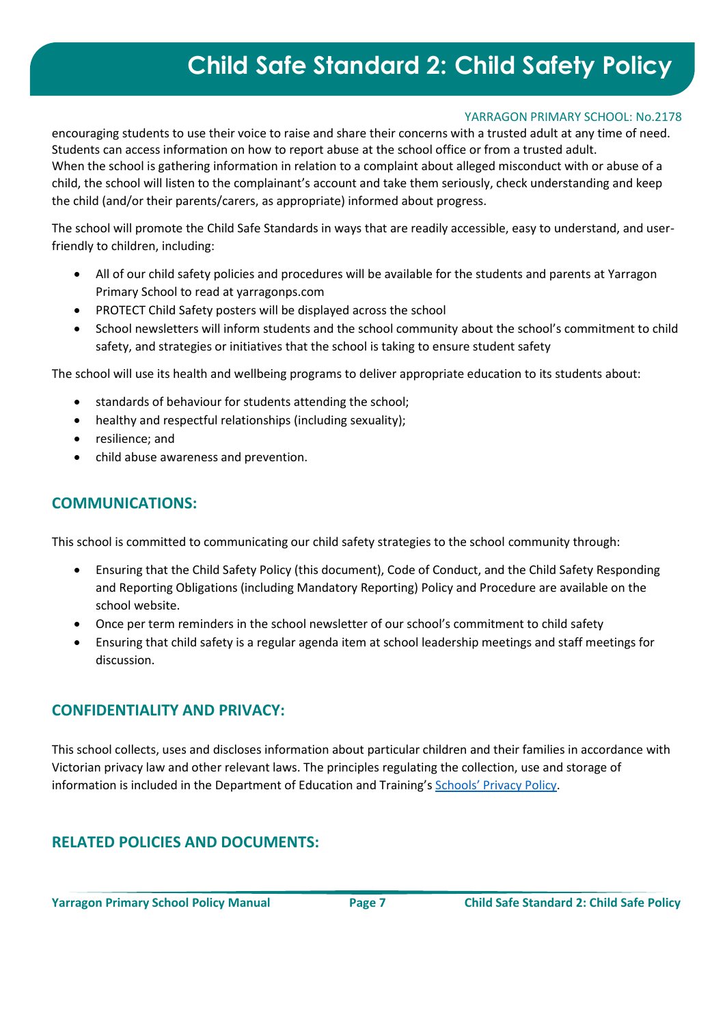## YARRAGON PRIMARY SCHOOL: No.2178

encouraging students to use their voice to raise and share their concerns with a trusted adult at any time of need. Students can access information on how to report abuse at the school office or from a trusted adult. When the school is gathering information in relation to a complaint about alleged misconduct with or abuse of a child, the school will listen to the complainant's account and take them seriously, check understanding and keep the child (and/or their parents/carers, as appropriate) informed about progress.

The school will promote the Child Safe Standards in ways that are readily accessible, easy to understand, and userfriendly to children, including:

- All of our child safety policies and procedures will be available for the students and parents at Yarragon Primary School to read at yarragonps.com
- PROTECT Child Safety posters will be displayed across the school
- School newsletters will inform students and the school community about the school's commitment to child safety, and strategies or initiatives that the school is taking to ensure student safety

The school will use its health and wellbeing programs to deliver appropriate education to its students about:

- standards of behaviour for students attending the school;
- healthy and respectful relationships (including sexuality);
- resilience; and
- child abuse awareness and prevention.

# **COMMUNICATIONS:**

This school is committed to communicating our child safety strategies to the school community through:

- Ensuring that the Child Safety Policy (this document), Code of Conduct, and the Child Safety Responding and Reporting Obligations (including Mandatory Reporting) Policy and Procedure are available on the school website.
- Once per term reminders in the school newsletter of our school's commitment to child safety
- Ensuring that child safety is a regular agenda item at school leadership meetings and staff meetings for discussion.

## **CONFIDENTIALITY AND PRIVACY:**

This school collects, uses and discloses information about particular children and their families in accordance with Victorian privacy law and other relevant laws. The principles regulating the collection, use and storage of information is included in the Department of Education and Training's [Schools' Privacy Policy](https://www.education.vic.gov.au/Pages/schoolsprivacypolicy.aspx).

# **RELATED POLICIES AND DOCUMENTS:**